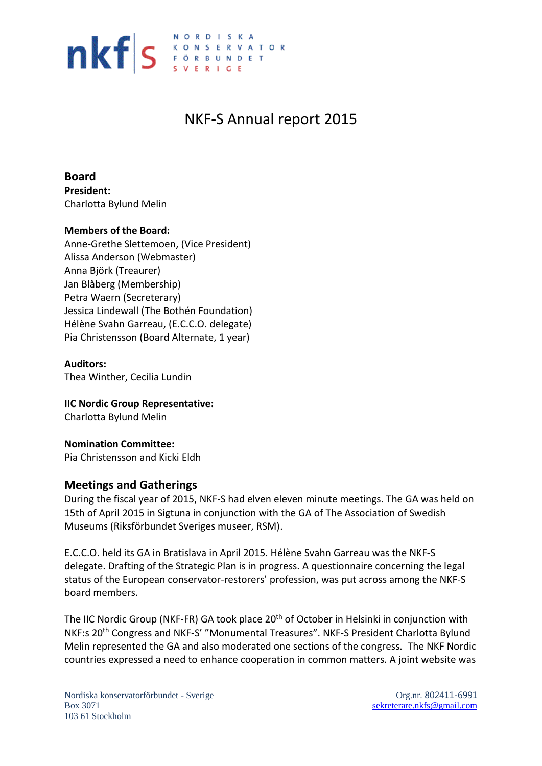

# NKF-S Annual report 2015

**Board President:** Charlotta Bylund Melin

#### **Members of the Board:**

Anne-Grethe Slettemoen, (Vice President) Alissa Anderson (Webmaster) Anna Björk (Treaurer) Jan Blåberg (Membership) Petra Waern (Secreterary) Jessica Lindewall (The Bothén Foundation) Hélène Svahn Garreau, (E.C.C.O. delegate) Pia Christensson (Board Alternate, 1 year)

#### **Auditors:**

Thea Winther, Cecilia Lundin

**IIC Nordic Group Representative:** Charlotta Bylund Melin

**Nomination Committee:** Pia Christensson and Kicki Eldh

#### **Meetings and Gatherings**

During the fiscal year of 2015, NKF-S had elven eleven minute meetings. The GA was held on 15th of April 2015 in Sigtuna in conjunction with the GA of The Association of Swedish Museums (Riksförbundet Sveriges museer, RSM).

E.C.C.O. held its GA in Bratislava in April 2015. Hélène Svahn Garreau was the NKF-S delegate. Drafting of the Strategic Plan is in progress. A questionnaire concerning the legal status of the European conservator-restorers' profession, was put across among the NKF-S board members.

The IIC Nordic Group (NKF-FR) GA took place 20<sup>th</sup> of October in Helsinki in conjunction with NKF:s 20<sup>th</sup> Congress and NKF-S' "Monumental Treasures". NKF-S President Charlotta Bylund Melin represented the GA and also moderated one sections of the congress. The NKF Nordic countries expressed a need to enhance cooperation in common matters. A joint website was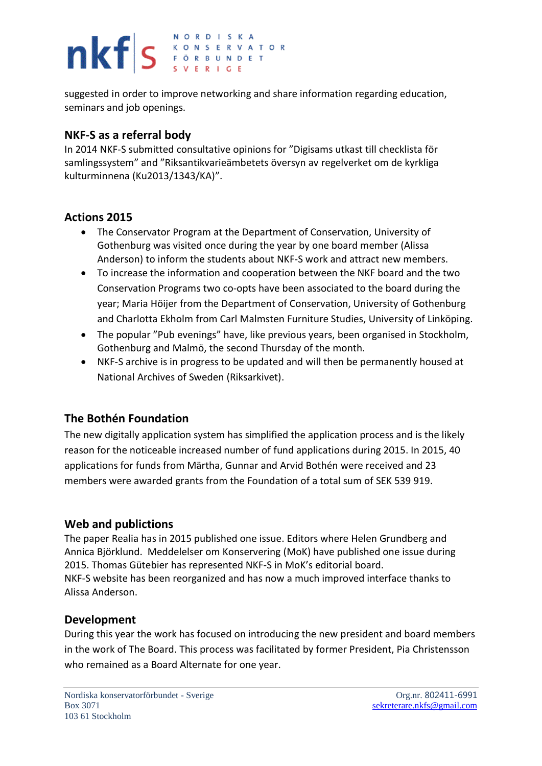## NORDISKA nkfs ERVAT **KONSERVATOR**

suggested in order to improve networking and share information regarding education, seminars and job openings.

### **NKF-S as a referral body**

In 2014 NKF-S submitted consultative opinions for "Digisams utkast till checklista för samlingssystem" and "Riksantikvarieämbetets översyn av regelverket om de kyrkliga kulturminnena (Ku2013/1343/KA)".

### **Actions 2015**

- The Conservator Program at the Department of Conservation, University of Gothenburg was visited once during the year by one board member (Alissa Anderson) to inform the students about NKF-S work and attract new members.
- To increase the information and cooperation between the NKF board and the two Conservation Programs two co-opts have been associated to the board during the year; Maria Höijer from the Department of Conservation, University of Gothenburg and Charlotta Ekholm from Carl Malmsten Furniture Studies, University of Linköping.
- The popular "Pub evenings" have, like previous years, been organised in Stockholm, Gothenburg and Malmö, the second Thursday of the month.
- NKF-S archive is in progress to be updated and will then be permanently housed at National Archives of Sweden (Riksarkivet).

### **The Bothén Foundation**

The new digitally application system has simplified the application process and is the likely reason for the noticeable increased number of fund applications during 2015. In 2015, 40 applications for funds from Märtha, Gunnar and Arvid Bothén were received and 23 members were awarded grants from the Foundation of a total sum of SEK 539 919.

### **Web and publictions**

The paper Realia has in 2015 published one issue. Editors where Helen Grundberg and Annica Björklund. Meddelelser om Konservering (MoK) have published one issue during 2015. Thomas Gütebier has represented NKF-S in MoK's editorial board. NKF-S website has been reorganized and has now a much improved interface thanks to Alissa Anderson.

### **Development**

During this year the work has focused on introducing the new president and board members in the work of The Board. This process was facilitated by former President, Pia Christensson who remained as a Board Alternate for one year.